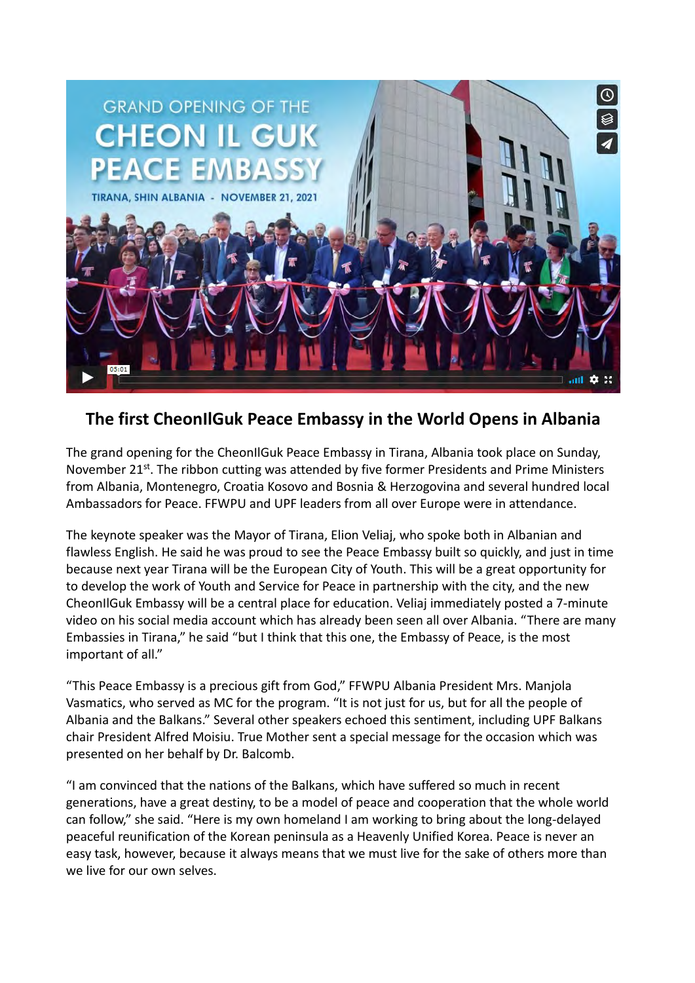

## **The first CheonIlGuk Peace Embassy in the World Opens in Albania**

The grand opening for the CheonIlGuk Peace Embassy in Tirana, Albania took place on Sunday, November 21st. The ribbon cutting was attended by five former Presidents and Prime Ministers from Albania, Montenegro, Croatia Kosovo and Bosnia & Herzogovina and several hundred local Ambassadors for Peace. FFWPU and UPF leaders from all over Europe were in attendance.

The keynote speaker was the Mayor of Tirana, Elion Veliaj, who spoke both in Albanian and flawless English. He said he was proud to see the Peace Embassy built so quickly, and just in time because next year Tirana will be the European City of Youth. This will be a great opportunity for to develop the work of Youth and Service for Peace in partnership with the city, and the new CheonIlGuk Embassy will be a central place for education. Veliaj immediately posted a 7-minute video on his social media account which has already been seen all over Albania. "There are many Embassies in Tirana," he said "but I think that this one, the Embassy of Peace, is the most important of all."

"This Peace Embassy is a precious gift from God," FFWPU Albania President Mrs. Manjola Vasmatics, who served as MC for the program. "It is not just for us, but for all the people of Albania and the Balkans." Several other speakers echoed this sentiment, including UPF Balkans chair President Alfred Moisiu. True Mother sent a special message for the occasion which was presented on her behalf by Dr. Balcomb.

"I am convinced that the nations of the Balkans, which have suffered so much in recent generations, have a great destiny, to be a model of peace and cooperation that the whole world can follow," she said. "Here is my own homeland I am working to bring about the long-delayed peaceful reunification of the Korean peninsula as a Heavenly Unified Korea. Peace is never an easy task, however, because it always means that we must live for the sake of others more than we live for our own selves.